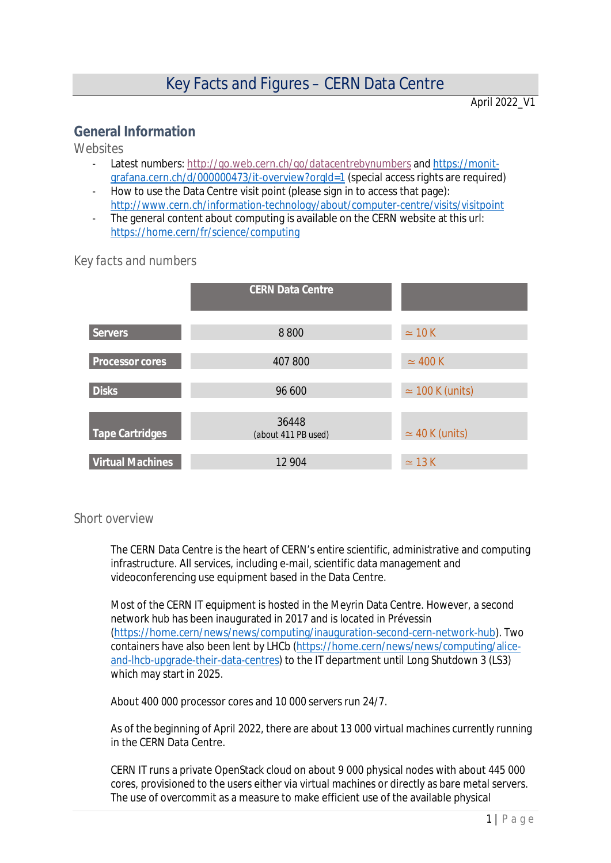April 2022

# **General Information**

*Websites*

- Latest numbers: <http://go.web.cern.ch/go/datacentrebynumbers> and [https://monit](https://monit-grafana.cern.ch/d/000000473/it-overview?orgId=1)[grafana.cern.ch/d/000000473/it-overview?orgId=1](https://monit-grafana.cern.ch/d/000000473/it-overview?orgId=1) (special access rights are required)
- How to use the Data Centre visit point (please sign in to access that page): <http://www.cern.ch/information-technology/about/computer-centre/visits/visitpoint>
- The general content about computing is available on the CERN website at this url: <https://home.cern/fr/science/computing>

|                         | <b>CERN Data Centre</b>      |                        |
|-------------------------|------------------------------|------------------------|
| <b>Servers</b>          | 8800                         | $\simeq$ 10 K          |
| Processor cores         | 407 800                      | $\simeq$ 400 K         |
| <b>Disks</b>            | 96 600                       | $\simeq$ 100 K (units) |
| Tape Cartridges         | 36448<br>(about 411 PB used) | $\simeq$ 40 K (units)  |
| <b>Virtual Machines</b> | 12 904                       | $\simeq$ 13 K          |

## *Key facts and numbers*

#### *Short overview*

The CERN Data Centre is the heart of CERN's entire scientific, administrative and computing infrastructure. All services, including e-mail, scientific data management and videoconferencing use equipment based in the Data Centre.

Most of the CERN IT equipment is hosted in the Meyrin Data Centre. However, a second network hub has been inaugurated in 2017 and is located in Prévessin [\(https://home.cern/news/news/computing/inauguration-second-cern-network-hub\)](https://home.cern/news/news/computing/inauguration-second-cern-network-hub). Two containers have also been lent by LHCb ([https://home.cern/news/news/computing/alice](https://home.cern/news/news/computing/alice-and-lhcb-upgrade-their-data-centres)[and-lhcb-upgrade-their-data-centres\)](https://home.cern/news/news/computing/alice-and-lhcb-upgrade-their-data-centres) to the IT department until Long Shutdown 3 (LS3) which may start in 2025.

About 400 000 processor cores and 10 000 servers run 24/7.

As of the beginning of April 2022, there are about 13 000 virtual machines currently running in the CERN Data Centre.

CERN IT runs a private OpenStack cloud on about 9 000 physical nodes with about 445 000 cores, provisioned to the users either via virtual machines or directly as bare metal servers. The use of overcommit as a measure to make efficient use of the available physical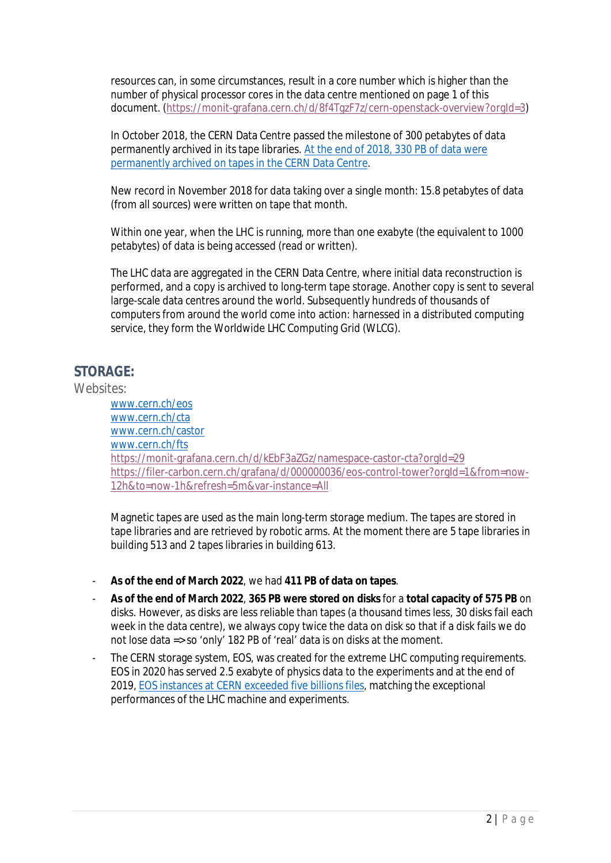resources can, in some circumstances, result in a core number which is higher than the number of physical processor cores in the data centre mentioned on page 1 of this document. [\(https://monit-grafana.cern.ch/d/8f4TgzF7z/cern-openstack-overview?orgId=3](https://monit-grafana.cern.ch/d/8f4TgzF7z/cern-openstack-overview?orgId=3))

In October 2018, the CERN Data Centre passed the milestone of 300 petabytes of data permanently archived in its tape libraries. [At the end of 2018, 330 PB of data were](https://home.cern/news/news/computing/lhc-pushing-computing-limits) [permanently archived on tapes in the CERN Data Centre](https://home.cern/news/news/computing/lhc-pushing-computing-limits).

[New](https://home.cern/about/updates/2017/12/breaking-data-records-bit-bit) record in November 2018 for data taking over a single month: 15.8 petabytes of data (from all sources) were written on tape that month.

Within one year, when the LHC is running, more than one exabyte (the equivalent to 1000 petabytes) of data is being accessed (read or written).

The LHC data are aggregated in the CERN Data Centre, where initial data reconstruction is performed, and a copy is archived to long-term tape storage. Another copy is sent to several large-scale data centres around the world. Subsequently hundreds of thousands of computers from around the world come into action: harnessed in a distributed computing service, they form the Worldwide LHC Computing Grid (WLCG).

# **STORAGE:**

*Websites:*

[www.cern.ch/eos](http://www.cern.ch/eos) [www.cern.ch/cta](http://www.cern.ch/cta) [www.cern.ch/castor](http://www.cern.ch/castor) [www.cern.ch/fts](http://www.cern.ch/fts) <https://monit-grafana.cern.ch/d/kEbF3aZGz/namespace-castor-cta?orgId=29> [https://filer-carbon.cern.ch/grafana/d/000000036/eos-control-tower?orgId=1&from=now-](https://filer-carbon.cern.ch/grafana/d/000000036/eos-control-tower?orgId=1&from=now-12h&to=now-1h&refresh=5m&var-instance=All)[12h&to=now-1h&refresh=5m&var-instance=All](https://filer-carbon.cern.ch/grafana/d/000000036/eos-control-tower?orgId=1&from=now-12h&to=now-1h&refresh=5m&var-instance=All)

Magnetic tapes are used as the main long-term storage medium. The tapes are stored in tape libraries and are retrieved by robotic arms. At the moment there are 5 tape libraries in building 513 and 2 tapes libraries in building 613.

- **As of the end of March 2022**, we had **411 PB of data on tapes**.
- **As of the end of March 2022**, **365 PB were stored on disks** for a **total capacity of 575 PB** on disks. However, as disks are less reliable than tapes (a thousand times less, 30 disks fail each week in the data centre), we always copy twice the data on disk so that if a disk fails we do not lose data => so 'only' 182 PB of 'real' data is on disks at the moment.
- The CERN storage system, EOS, was created for the extreme LHC computing requirements. EOS in 2020 has served 2.5 exabyte of physics data to the experiments and at the end of 2019, [EOS instances at CERN exceeded five billions files,](https://filer-carbon.cern.ch/grafana/d/000000036/eos-control-tower?orgId=1&refresh=5m) matching the exceptional performances of the LHC machine and experiments.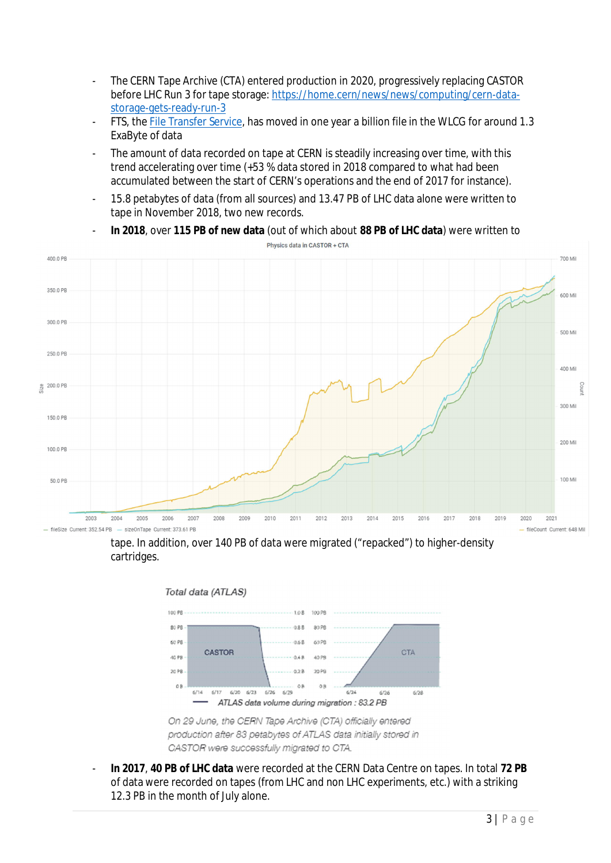- The CERN Tape Archive (CTA) entered production in 2020, progressively replacing CASTOR before LHC Run 3 for tape storage: [https://home.cern/news/news/computing/cern-data](https://home.cern/news/news/computing/cern-data-storage-gets-ready-run-3)[storage-gets-ready-run-3](https://home.cern/news/news/computing/cern-data-storage-gets-ready-run-3)
- FTS, the [File Transfer Service,](https://fts.web.cern.ch/fts/) has moved in one year a billion file in the WLCG for around 1.3 ExaByte of data
- The amount of data recorded on tape at CERN is steadily increasing over time, with this trend accelerating over time (+53 % data stored in 2018 compared to what had been accumulated between the start of CERN's operations and the end of 2017 for instance).
- 15.8 petabytes of data (from all sources) and 13.47 PB of LHC data alone were written to tape in November 2018, two new records.



- **In 2018**, over **115 PB of new data** (out of which about **88 PB of LHC data**) were written to Physics data in CASTOR + CTA

tape. In addition, over 140 PB of data were migrated ("repacked") to higher-density cartridges.





On 29 June, the CERN Tape Archive (CTA) officially entered production after 83 petabytes of ATLAS data initially stored in CASTOR were successfully migrated to CTA.

- **In 2017**, **40 PB of LHC data** were recorded at the CERN Data Centre on tapes. In total **72 PB** of data were recorded on tapes (from LHC and non LHC experiments, etc.) with a striking 12.3 PB in the month of July alone.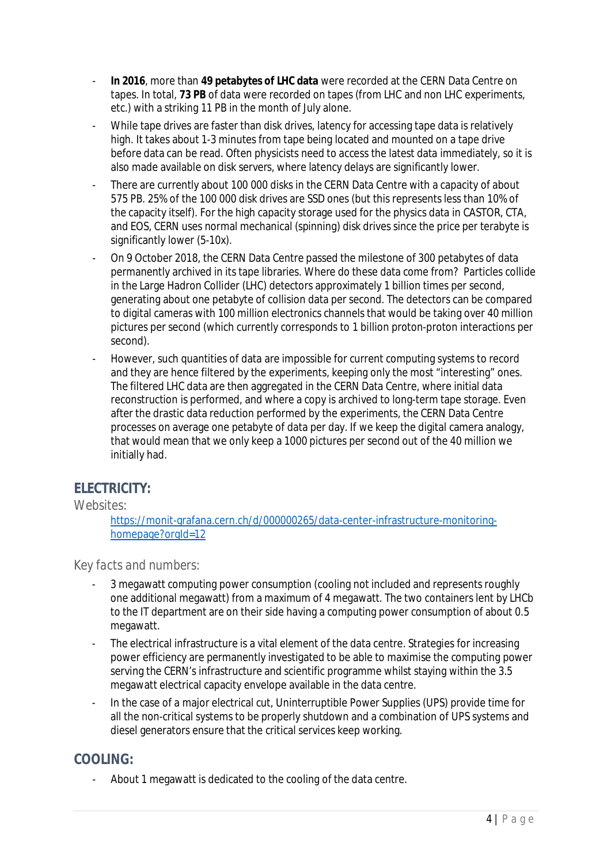- **In 2016**, more than **49 petabytes of LHC data** were recorded at the CERN Data Centre on tapes. In total, **73 PB** of data were recorded on tapes (from LHC and non LHC experiments, etc.) with a striking 11 PB in the month of July alone.
- While tape drives are faster than disk drives, latency for accessing tape data is relatively high. It takes about 1-3 minutes from tape being located and mounted on a tape drive before data can be read. Often physicists need to access the latest data immediately, so it is also made available on disk servers, where latency delays are significantly lower.
- There are currently about 100 000 disks in the CERN Data Centre with a capacity of about 575 PB. 25% of the 100 000 disk drives are SSD ones (but this represents less than 10% of the capacity itself). For the high capacity storage used for the physics data in CASTOR, CTA, and EOS, CERN uses normal mechanical (spinning) disk drives since the price per terabyte is significantly lower (5-10x).
- On 9 October 2018, the CERN Data Centre passed the milestone of 300 petabytes of data permanently archived in its tape libraries. Where do these data come from? Particles collide in the Large Hadron Collider (LHC) detectors approximately 1 billion times per second, generating about one petabyte of collision data per second. The detectors can be compared to digital cameras with 100 million electronics channels that would be taking over 40 million pictures per second (which currently corresponds to 1 billion proton-proton interactions per second).
- However, such quantities of data are impossible for current computing systems to record and they are hence filtered by the experiments, keeping only the most "interesting" ones. The filtered LHC data are then aggregated in the CERN Data Centre, where initial data reconstruction is performed, and where a copy is archived to long-term tape storage. Even after the drastic data reduction performed by the experiments, the CERN Data Centre processes on average one petabyte of data per day. If we keep the digital camera analogy, that would mean that we only keep a 1000 pictures per second out of the 40 million we initially had.

# **ELECTRICITY:**

#### *Websites:*

[https://monit-grafana.cern.ch/d/000000265/data-center-infrastructure-monitoring](https://monit-grafana.cern.ch/d/000000265/data-center-infrastructure-monitoring-homepage?orgId=12)[homepage?orgId=12](https://monit-grafana.cern.ch/d/000000265/data-center-infrastructure-monitoring-homepage?orgId=12)

## *Key facts and numbers:*

- 3 megawatt computing power consumption (cooling not included and represents roughly one additional megawatt) from a maximum of 4 megawatt. The two containers lent by LHCb to the IT department are on their side having a computing power consumption of about 0.5 megawatt.
- The electrical infrastructure is a vital element of the data centre. Strategies for increasing power efficiency are permanently investigated to be able to maximise the computing power serving the CERN's infrastructure and scientific programme whilst staying within the 3.5 megawatt electrical capacity envelope available in the data centre.
- In the case of a major electrical cut, Uninterruptible Power Supplies (UPS) provide time for all the non-critical systems to be properly shutdown and a combination of UPS systems and diesel generators ensure that the critical services keep working.

# **COOLING:**

About 1 megawatt is dedicated to the cooling of the data centre.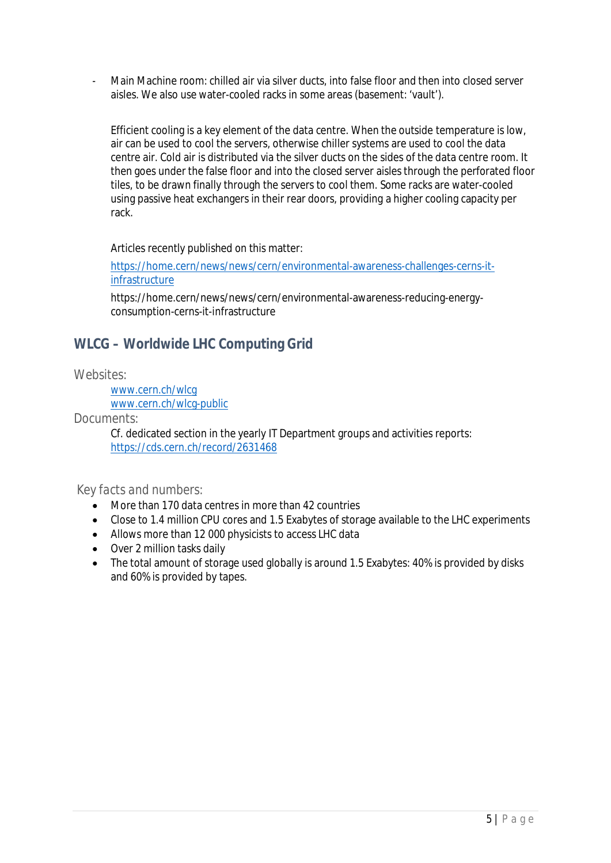Main Machine room: chilled air via silver ducts, into false floor and then into closed server aisles. We also use water-cooled racks in some areas (basement: 'vault').

Efficient cooling is a key element of the data centre. When the outside temperature is low, air can be used to cool the servers, otherwise chiller systems are used to cool the data centre air. Cold air is distributed via the silver ducts on the sides of the data centre room. It then goes under the false floor and into the closed server aisles through the perforated floor tiles, to be drawn finally through the servers to cool them. Some racks are water-cooled using passive heat exchangers in their rear doors, providing a higher cooling capacity per rack.

Articles recently published on this matter:

[https://home.cern/news/news/cern/environmental-awareness-challenges-cerns-it](https://home.cern/news/news/cern/environmental-awareness-challenges-cerns-it-infrastructure)[infrastructure](https://home.cern/news/news/cern/environmental-awareness-challenges-cerns-it-infrastructure)

https://home.cern/news/news/cern/environmental-awareness-reducing-energyconsumption-cerns-it-infrastructure

# **WLCG – Worldwide LHC Computing Grid**

#### *Websites:*

[www.cern.ch/wlcg](http://www.cern.ch/wlcg) [www.cern.ch/wlcg-public](http://www.cern.ch/wlcg-public)

*Documents:*

Cf. dedicated section in the yearly IT Department groups and activities reports: <https://cds.cern.ch/record/2631468>

#### *Key facts and numbers:*

- More than 170 data centres in more than 42 countries
- Close to 1.4 million CPU cores and 1.5 Exabytes of storage available to the LHC experiments
- Allows more than 12 000 physicists to access LHC data
- Over 2 million tasks daily
- The total amount of storage used globally is around 1.5 Exabytes: 40% is provided by disks and 60% is provided by tapes.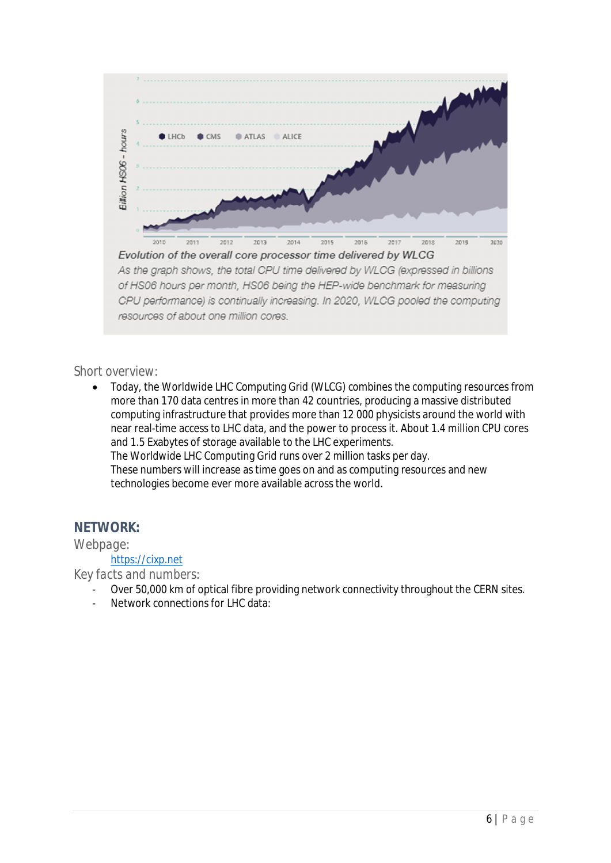

#### *Short overview:*

 Today, the Worldwide LHC Computing Grid (WLCG) combines the computing resources from more than 170 data centres in more than 42 countries, producing a massive distributed computing infrastructure that provides more than 12 000 physicists around the world with near real-time access to LHC data, and the power to process it. About 1.4 million CPU cores and 1.5 Exabytes of storage available to the LHC experiments. The Worldwide LHC Computing Grid runs over 2 million tasks per day. These numbers will increase as time goes on and as computing resources and new technologies become ever more available across the world.

## **NETWORK:**

#### *Webpage:*

### [https://cixp.net](https://cixp.net/)

*Key facts and numbers:*

- Over 50,000 km of optical fibre providing network connectivity throughout the CERN sites.
- Network connections for LHC data: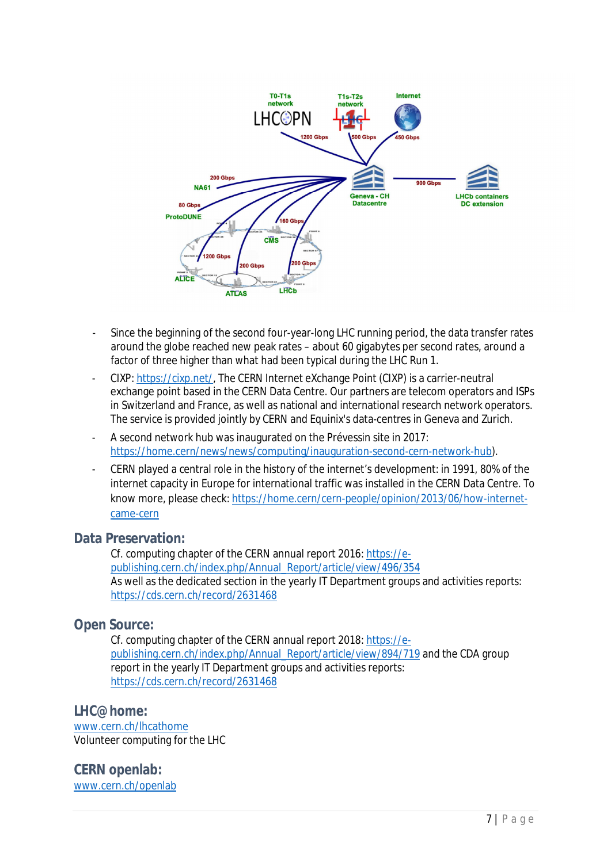

- Since the beginning of the second four-year-long LHC running period, the data transfer rates around the globe reached new peak rates – about 60 gigabytes per second rates, around a factor of three higher than what had been typical during the LHC Run 1.
- CIXP: [https://cixp.net/,](https://cixp.net/) The CERN Internet eXchange Point (CIXP) is a carrier-neutral exchange point based in the CERN Data Centre. Our partners are telecom operators and ISPs in Switzerland and France, as well as national and international research network operators. The service is provided jointly by CERN and Equinix's data-centres in Geneva and Zurich.
- A second network hub was inaugurated on the Prévessin site in 2017: <https://home.cern/news/news/computing/inauguration-second-cern-network-hub>).
- CERN played a central role in the history of the internet's development: in 1991, 80% of the internet capacity in Europe for international traffic was installed in the CERN Data Centre. To know more, please check: [https://home.cern/cern-people/opinion/2013/06/how-internet](https://home.cern/cern-people/opinion/2013/06/how-internet-came-cern)[came-cern](https://home.cern/cern-people/opinion/2013/06/how-internet-came-cern)

#### **Data Preservation:**

Cf. computing chapter of the CERN annual report 2016: [https://e](https://e-publishing.cern.ch/index.php/Annual_Report/article/view/496/354)[publishing.cern.ch/index.php/Annual\\_Report/article/view/496/354](https://e-publishing.cern.ch/index.php/Annual_Report/article/view/496/354) As well as the dedicated section in the yearly IT Department groups and activities reports: <https://cds.cern.ch/record/2631468>

## **Open Source:**

Cf. computing chapter of the CERN annual report 2018: [https://e](https://e-publishing.cern.ch/index.php/Annual_Report/article/view/894/719)[publishing.cern.ch/index.php/Annual\\_Report/article/view/894/719](https://e-publishing.cern.ch/index.php/Annual_Report/article/view/894/719) and the CDA group report in the yearly IT Department groups and activities reports: <https://cds.cern.ch/record/2631468>

**LHC@home:** [www.cern.ch/lhcathome](http://www.cern.ch/lhcathome) Volunteer computing for the LHC

**CERN openlab:** [www.cern.ch/openlab](http://www.cern.ch/openlab)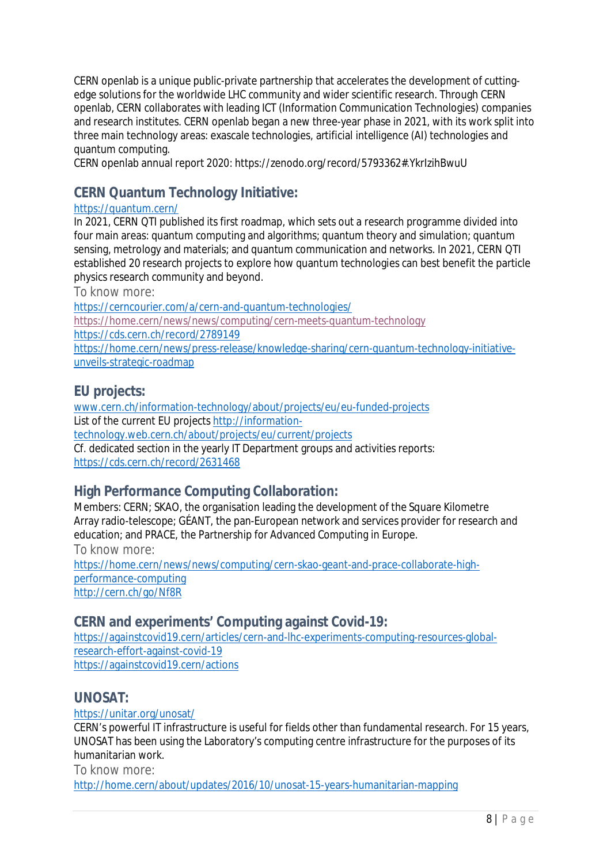CERN openlab is a unique public-private partnership that accelerates the development of cuttingedge solutions for the worldwide LHC community and wider scientific research. Through CERN openlab, CERN collaborates with leading ICT (Information Communication Technologies) companies and research institutes. CERN openlab began a new three-year phase in 2021, with its work split into three main technology areas: exascale technologies, artificial intelligence (AI) technologies and quantum computing.

CERN openlab annual report 2020: https://zenodo.org/record/5793362#.YkrIzihBwuU

# **CERN Quantum Technology Initiative:**

### <https://quantum.cern/>

In 2021, CERN QTI published its first roadmap, which sets out a research programme divided into four main areas: quantum computing and algorithms; quantum theory and simulation; quantum sensing, metrology and materials; and quantum communication and networks. In 2021, CERN QTI established 20 research projects to explore how quantum technologies can best benefit the particle physics research community and beyond.

*To know more:*

<https://cerncourier.com/a/cern-and-quantum-technologies/>

<https://home.cern/news/news/computing/cern-meets-quantum-technology>

<https://cds.cern.ch/record/2789149>

[https://home.cern/news/press-release/knowledge-sharing/cern-quantum-technology-initiative](https://home.cern/news/press-release/knowledge-sharing/cern-quantum-technology-initiative-unveils-strategic-roadmap)[unveils-strategic-roadmap](https://home.cern/news/press-release/knowledge-sharing/cern-quantum-technology-initiative-unveils-strategic-roadmap)

## **EU projects:**

[www.cern.ch/information-technology/about/projects/eu/eu-funded-projects](http://www.cern.ch/information-technology/about/projects/eu/eu-funded-projects) List of the current EU projects [http://information](http://information-technology.web.cern.ch/about/projects/eu/current/projects)[technology.web.cern.ch/about/projects/eu/current/projects](http://information-technology.web.cern.ch/about/projects/eu/current/projects) Cf. dedicated section in the yearly IT Department groups and activities reports: <https://cds.cern.ch/record/2631468>

# **High Performance Computing Collaboration:**

Members: CERN; SKAO, the organisation leading the development of the [Square Kilometre](https://www.skatelescope.org/) [Array](https://www.skatelescope.org/) radio-telescope; [GÉANT](https://www.geant.org/), the pan-European network and services provider for research and education; and [PRACE,](https://prace-ri.eu/) the Partnership for Advanced Computing in Europe.

*To know more:*

[https://home.cern/news/news/computing/cern-skao-geant-and-prace-collaborate-high](https://home.cern/news/news/computing/cern-skao-geant-and-prace-collaborate-high-performance-computing)[performance-computing](https://home.cern/news/news/computing/cern-skao-geant-and-prace-collaborate-high-performance-computing) <http://cern.ch/go/Nf8R>

**CERN and experiments' Computing against Covid-19:**

[https://againstcovid19.cern/articles/cern-and-lhc-experiments-computing-resources-global](https://againstcovid19.cern/articles/cern-and-lhc-experiments-computing-resources-global-research-effort-against-covid-19)[research-effort-against-covid-19](https://againstcovid19.cern/articles/cern-and-lhc-experiments-computing-resources-global-research-effort-against-covid-19) <https://againstcovid19.cern/actions>

## **UNOSAT:**

<https://unitar.org/unosat/>

CERN's powerful IT infrastructure is useful for fields other than fundamental research. For 15 years, UNOSAT has been using the Laboratory's computing centre infrastructure for the purposes of its humanitarian work.

*To know more:*

<http://home.cern/about/updates/2016/10/unosat-15-years-humanitarian-mapping>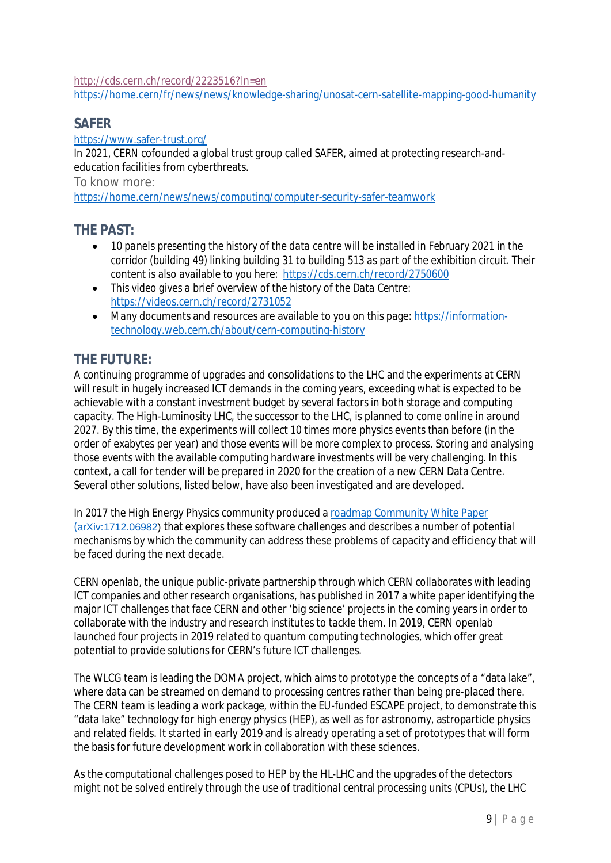<http://cds.cern.ch/record/2223516?ln=en>

<https://home.cern/fr/news/news/knowledge-sharing/unosat-cern-satellite-mapping-good-humanity>

## **SAFER**

https://www.safer-trust.org/

In 2021, CERN cofounded a global trust group called SAFER, aimed at protecting research-andeducation facilities from cyberthreats.

*To know more:*

<https://home.cern/news/news/computing/computer-security-safer-teamwork>

#### **THE PAST:**

- *10 panels presenting the history of the data centre will be installed in February 2021 in the corridor (building 49) linking building 31 to building 513 as part of the exhibition circuit. Their content is also available to you here:* <https://cds.cern.ch/record/2750600>
- *This video gives a brief overview of the history of the Data Centre:* <https://videos.cern.ch/record/2731052>
- Many documents and resources are available to you on this page: [https://information](https://information-technology.web.cern.ch/about/cern-computing-history)[technology.web.cern.ch/about/cern-computing-history](https://information-technology.web.cern.ch/about/cern-computing-history)

# **THE FUTURE:**

A continuing programme of upgrades and consolidations to the LHC and the experiments at CERN will result in hugely increased ICT demands in the coming years, exceeding what is expected to be achievable with a constant investment budget by several factors in both storage and computing capacity. The High-Luminosity LHC, the successor to the LHC, is planned to come online in around 2027. By this time, the experiments will collect 10 times more physics events than before (in the order of exabytes per year) and those events will be more complex to process. Storing and analysing those events with the available computing hardware investments will be very challenging. In this context, a call for tender will be prepared in 2020 for the creation of a new CERN Data Centre. Several other solutions, listed below, have also been investigated and are developed.

In 2017 the High Energy Physics community produced a [roadmap Community White Paper](https://arxiv.org/abs/1712.06982) ([arXiv:1712.06982\)](https://arxiv.org/abs/1712.06982) that explores these software challenges and describes a number of potential mechanisms by which the community can address these problems of capacity and efficiency that will be faced during the next decade.

CERN openlab, the unique public-private partnership through which CERN collaborates with leading ICT companies and other research organisations, has published in 2017 [a white paper](https://openlab.cern/sites/openlab.web.cern.ch/files/2018-03/Whitepaper_brochure_ONLINE_0%5B1%5D.pdf) identifying the major ICT challenges that face CERN and other 'big science' projects in the coming years in order to collaborate with the industry and research institutes to tackle them. In 2019, CERN openlab launched four projects in 2019 related to quantum computing technologies, which offer great potential to provide solutions for CERN's future ICT challenges.

The WLCG team is leading the DOMA project, which aims to prototype the concepts of a "data lake", where data can be streamed on demand to processing centres rather than being pre-placed there. The CERN team is leading a work package, within the EU-funded ESCAPE project, to demonstrate this "data lake" technology for high energy physics (HEP), as well as for astronomy, astroparticle physics and related fields. It started in early 2019 and is already operating a set of prototypes that will form the basis for future development work in collaboration with these sciences.

As the computational challenges posed to HEP by the HL-LHC and the upgrades of the detectors might not be solved entirely through the use of traditional central processing units (CPUs), the LHC